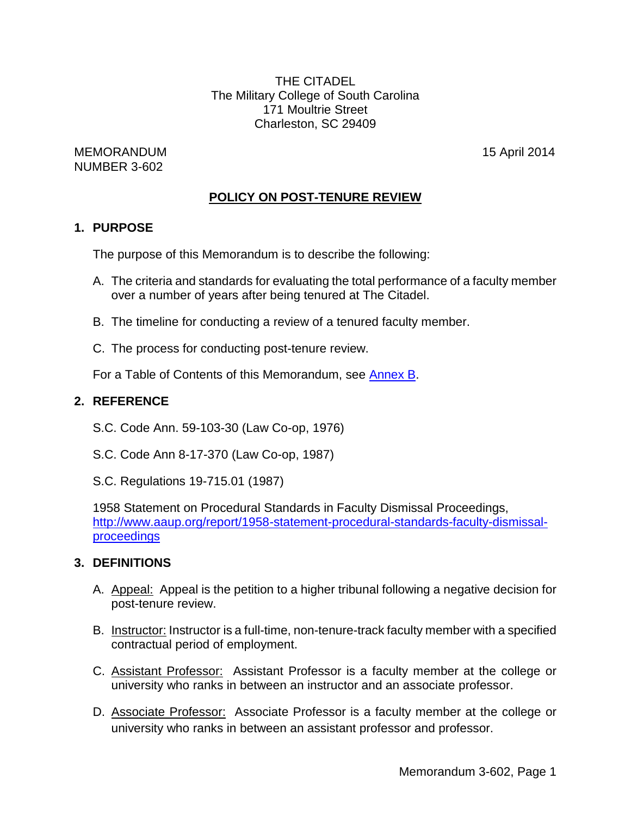THE CITADEL The Military College of South Carolina 171 Moultrie Street Charleston, SC 29409

MEMORANDUM 15 April 2014 NUMBER 3-602

# **POLICY ON POST-TENURE REVIEW**

## **1. PURPOSE**

The purpose of this Memorandum is to describe the following:

- A. The criteria and standards for evaluating the total performance of a faculty member over a number of years after being tenured at The Citadel.
- B. The timeline for conducting a review of a tenured faculty member.
- C. The process for conducting post-tenure review.

For a Table of Contents of this Memorandum, see [Annex](#page-14-0) [B.](#page-14-0)

## **2. REFERENCE**

- S.C. Code Ann. 59-103-30 (Law Co-op, 1976)
- S.C. Code Ann 8-17-370 (Law Co-op, 1987)
- S.C. Regulations 19-715.01 (1987)

1958 Statement on Procedural Standards in Faculty Dismissal Proceedings, [http://www.aaup.org/report/1958-statement-procedural-standards-faculty-dismissal](http://www.aaup.org/report/1958-statement-procedural-standards-faculty-dismissal-proceedings)[proceedings](http://www.aaup.org/report/1958-statement-procedural-standards-faculty-dismissal-proceedings)

### **3. DEFINITIONS**

- A. Appeal: Appeal is the petition to a higher tribunal following a negative decision for post-tenure review.
- B. Instructor: Instructor is a full-time, non-tenure-track faculty member with a specified contractual period of employment.
- C. Assistant Professor: Assistant Professor is a faculty member at the college or university who ranks in between an instructor and an associate professor.
- D. Associate Professor: Associate Professor is a faculty member at the college or university who ranks in between an assistant professor and professor.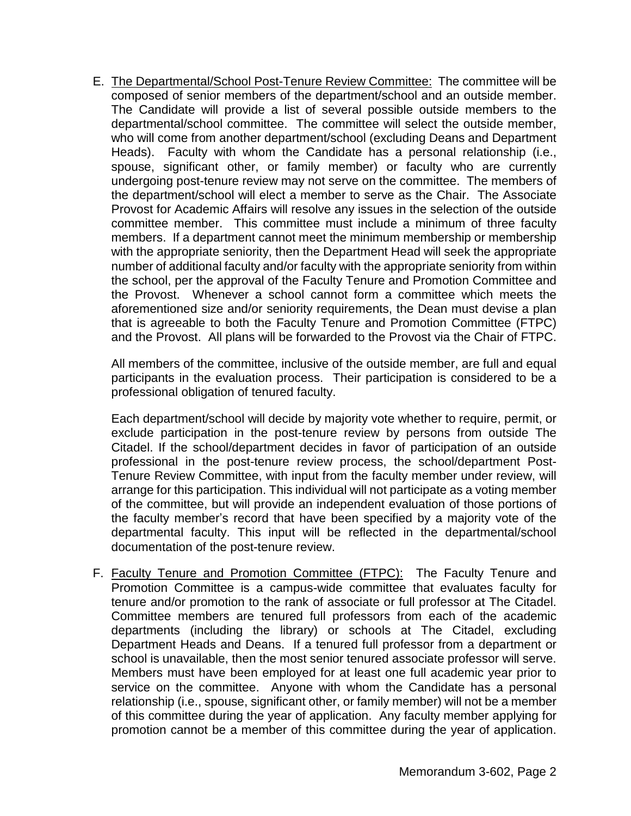E. The Departmental/School Post-Tenure Review Committee: The committee will be composed of senior members of the department/school and an outside member. The Candidate will provide a list of several possible outside members to the departmental/school committee. The committee will select the outside member, who will come from another department/school (excluding Deans and Department Heads). Faculty with whom the Candidate has a personal relationship (i.e., spouse, significant other, or family member) or faculty who are currently undergoing post-tenure review may not serve on the committee. The members of the department/school will elect a member to serve as the Chair. The Associate Provost for Academic Affairs will resolve any issues in the selection of the outside committee member. This committee must include a minimum of three faculty members. If a department cannot meet the minimum membership or membership with the appropriate seniority, then the Department Head will seek the appropriate number of additional faculty and/or faculty with the appropriate seniority from within the school, per the approval of the Faculty Tenure and Promotion Committee and the Provost. Whenever a school cannot form a committee which meets the aforementioned size and/or seniority requirements, the Dean must devise a plan that is agreeable to both the Faculty Tenure and Promotion Committee (FTPC) and the Provost. All plans will be forwarded to the Provost via the Chair of FTPC.

All members of the committee, inclusive of the outside member, are full and equal participants in the evaluation process. Their participation is considered to be a professional obligation of tenured faculty.

Each department/school will decide by majority vote whether to require, permit, or exclude participation in the post-tenure review by persons from outside The Citadel. If the school/department decides in favor of participation of an outside professional in the post-tenure review process, the school/department Post-Tenure Review Committee, with input from the faculty member under review, will arrange for this participation. This individual will not participate as a voting member of the committee, but will provide an independent evaluation of those portions of the faculty member's record that have been specified by a majority vote of the departmental faculty. This input will be reflected in the departmental/school documentation of the post-tenure review.

F. Faculty Tenure and Promotion Committee (FTPC): The Faculty Tenure and Promotion Committee is a campus-wide committee that evaluates faculty for tenure and/or promotion to the rank of associate or full professor at The Citadel. Committee members are tenured full professors from each of the academic departments (including the library) or schools at The Citadel, excluding Department Heads and Deans. If a tenured full professor from a department or school is unavailable, then the most senior tenured associate professor will serve. Members must have been employed for at least one full academic year prior to service on the committee. Anyone with whom the Candidate has a personal relationship (i.e., spouse, significant other, or family member) will not be a member of this committee during the year of application. Any faculty member applying for promotion cannot be a member of this committee during the year of application.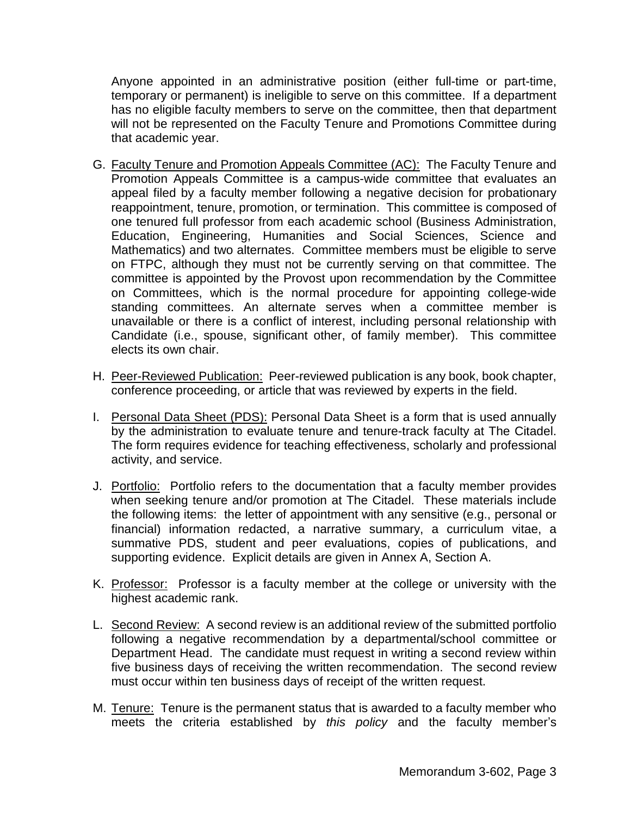Anyone appointed in an administrative position (either full-time or part-time, temporary or permanent) is ineligible to serve on this committee. If a department has no eligible faculty members to serve on the committee, then that department will not be represented on the Faculty Tenure and Promotions Committee during that academic year.

- G. Faculty Tenure and Promotion Appeals Committee (AC): The Faculty Tenure and Promotion Appeals Committee is a campus-wide committee that evaluates an appeal filed by a faculty member following a negative decision for probationary reappointment, tenure, promotion, or termination. This committee is composed of one tenured full professor from each academic school (Business Administration, Education, Engineering, Humanities and Social Sciences, Science and Mathematics) and two alternates. Committee members must be eligible to serve on FTPC, although they must not be currently serving on that committee. The committee is appointed by the Provost upon recommendation by the Committee on Committees, which is the normal procedure for appointing college-wide standing committees. An alternate serves when a committee member is unavailable or there is a conflict of interest, including personal relationship with Candidate (i.e., spouse, significant other, of family member). This committee elects its own chair.
- H. Peer-Reviewed Publication: Peer-reviewed publication is any book, book chapter, conference proceeding, or article that was reviewed by experts in the field.
- I. Personal Data Sheet (PDS): Personal Data Sheet is a form that is used annually by the administration to evaluate tenure and tenure-track faculty at The Citadel. The form requires evidence for teaching effectiveness, scholarly and professional activity, and service.
- J. Portfolio: Portfolio refers to the documentation that a faculty member provides when seeking tenure and/or promotion at The Citadel. These materials include the following items: the letter of appointment with any sensitive (e.g., personal or financial) information redacted, a narrative summary, a curriculum vitae, a summative PDS, student and peer evaluations, copies of publications, and supporting evidence. Explicit details are given in Annex A, Section A.
- K. Professor: Professor is a faculty member at the college or university with the highest academic rank.
- L. Second Review: A second review is an additional review of the submitted portfolio following a negative recommendation by a departmental/school committee or Department Head. The candidate must request in writing a second review within five business days of receiving the written recommendation. The second review must occur within ten business days of receipt of the written request.
- M. Tenure: Tenure is the permanent status that is awarded to a faculty member who meets the criteria established by *this policy* and the faculty member's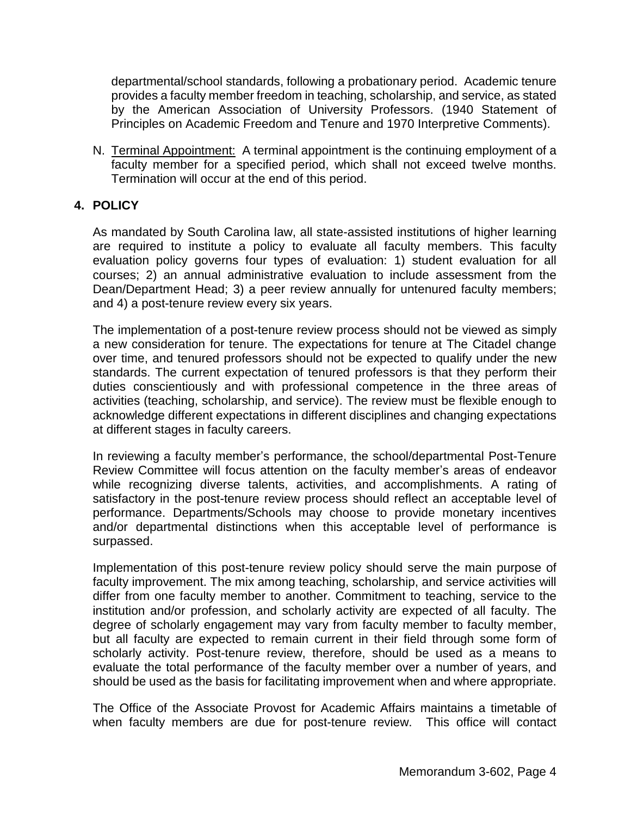departmental/school standards, following a probationary period. Academic tenure provides a faculty member freedom in teaching, scholarship, and service, as stated by the American Association of University Professors. (1940 Statement of Principles on Academic Freedom and Tenure and 1970 Interpretive Comments).

N. Terminal Appointment: A terminal appointment is the continuing employment of a faculty member for a specified period, which shall not exceed twelve months. Termination will occur at the end of this period.

# **4. POLICY**

As mandated by South Carolina law, all state-assisted institutions of higher learning are required to institute a policy to evaluate all faculty members. This faculty evaluation policy governs four types of evaluation: 1) student evaluation for all courses; 2) an annual administrative evaluation to include assessment from the Dean/Department Head; 3) a peer review annually for untenured faculty members; and 4) a post-tenure review every six years.

The implementation of a post-tenure review process should not be viewed as simply a new consideration for tenure. The expectations for tenure at The Citadel change over time, and tenured professors should not be expected to qualify under the new standards. The current expectation of tenured professors is that they perform their duties conscientiously and with professional competence in the three areas of activities (teaching, scholarship, and service). The review must be flexible enough to acknowledge different expectations in different disciplines and changing expectations at different stages in faculty careers.

In reviewing a faculty member's performance, the school/departmental Post-Tenure Review Committee will focus attention on the faculty member's areas of endeavor while recognizing diverse talents, activities, and accomplishments. A rating of satisfactory in the post-tenure review process should reflect an acceptable level of performance. Departments/Schools may choose to provide monetary incentives and/or departmental distinctions when this acceptable level of performance is surpassed.

Implementation of this post-tenure review policy should serve the main purpose of faculty improvement. The mix among teaching, scholarship, and service activities will differ from one faculty member to another. Commitment to teaching, service to the institution and/or profession, and scholarly activity are expected of all faculty. The degree of scholarly engagement may vary from faculty member to faculty member, but all faculty are expected to remain current in their field through some form of scholarly activity. Post-tenure review, therefore, should be used as a means to evaluate the total performance of the faculty member over a number of years, and should be used as the basis for facilitating improvement when and where appropriate.

The Office of the Associate Provost for Academic Affairs maintains a timetable of when faculty members are due for post-tenure review. This office will contact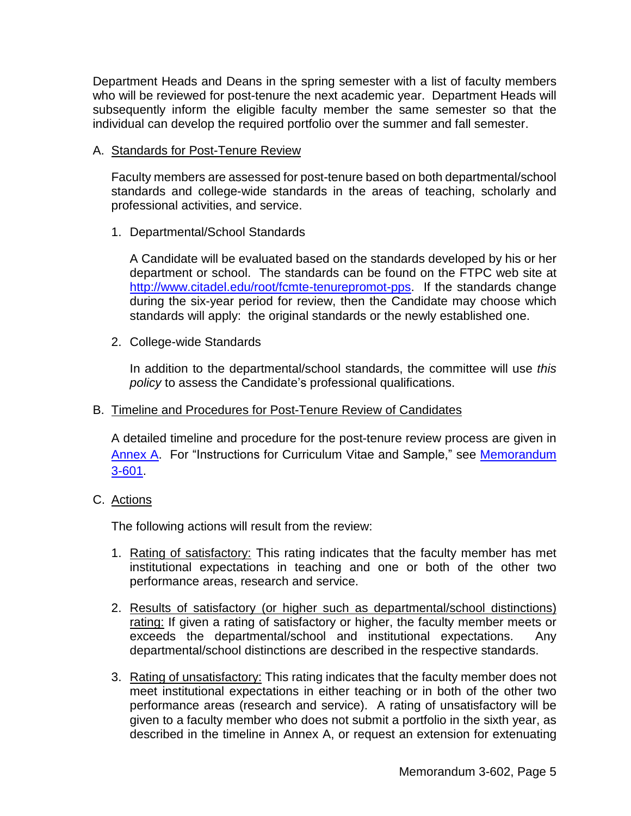Department Heads and Deans in the spring semester with a list of faculty members who will be reviewed for post-tenure the next academic year. Department Heads will subsequently inform the eligible faculty member the same semester so that the individual can develop the required portfolio over the summer and fall semester.

A. Standards for Post-Tenure Review

Faculty members are assessed for post-tenure based on both departmental/school standards and college-wide standards in the areas of teaching, scholarly and professional activities, and service.

1. Departmental/School Standards

A Candidate will be evaluated based on the standards developed by his or her department or school. The standards can be found on the FTPC web site at [http://www.citadel.edu/root/fcmte-tenurepromot-pps.](http://www.citadel.edu/root/fcmte-tenurepromot-pps) If the standards change during the six-year period for review, then the Candidate may choose which standards will apply: the original standards or the newly established one.

2. College-wide Standards

In addition to the departmental/school standards, the committee will use *this policy* to assess the Candidate's professional qualifications.

B. Timeline and Procedures for Post-Tenure Review of Candidates

A detailed timeline and procedure for the post-tenure review process are given in [Annex](#page-7-0) A. For "Instructions for Curriculum Vitae and Sample," see [Memorandum](http://www.citadel.edu/root/images/BOV/Policies/03-provost/3-601-tenure-and-promotion.pdf) [3-601.](http://www.citadel.edu/root/images/BOV/Policies/03-provost/3-601-tenure-and-promotion.pdf)

C. Actions

The following actions will result from the review:

- 1. Rating of satisfactory: This rating indicates that the faculty member has met institutional expectations in teaching and one or both of the other two performance areas, research and service.
- 2. Results of satisfactory (or higher such as departmental/school distinctions) rating: If given a rating of satisfactory or higher, the faculty member meets or exceeds the departmental/school and institutional expectations. Any departmental/school distinctions are described in the respective standards.
- 3. Rating of unsatisfactory: This rating indicates that the faculty member does not meet institutional expectations in either teaching or in both of the other two performance areas (research and service). A rating of unsatisfactory will be given to a faculty member who does not submit a portfolio in the sixth year, as described in the timeline in Annex A, or request an extension for extenuating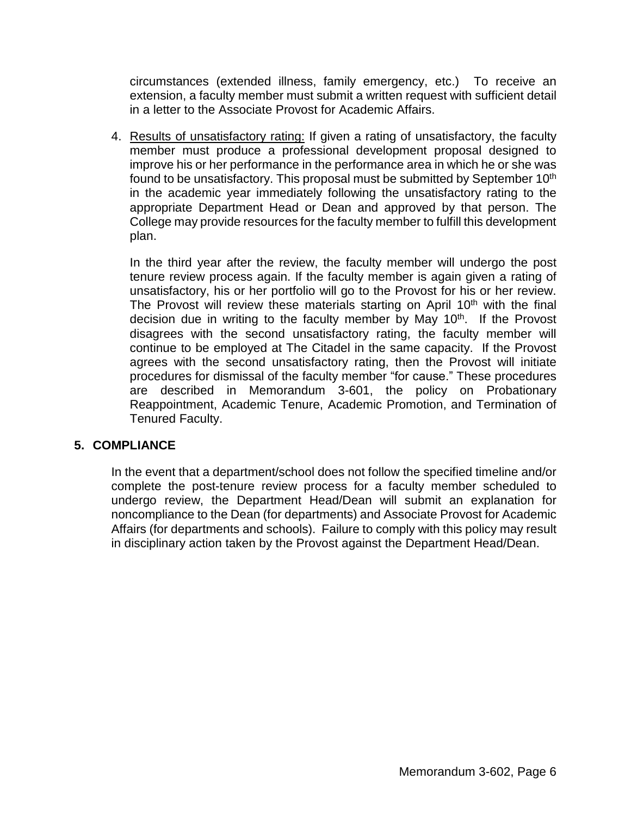circumstances (extended illness, family emergency, etc.) To receive an extension, a faculty member must submit a written request with sufficient detail in a letter to the Associate Provost for Academic Affairs.

4. Results of unsatisfactory rating: If given a rating of unsatisfactory, the faculty member must produce a professional development proposal designed to improve his or her performance in the performance area in which he or she was found to be unsatisfactory. This proposal must be submitted by September 10<sup>th</sup> in the academic year immediately following the unsatisfactory rating to the appropriate Department Head or Dean and approved by that person. The College may provide resources for the faculty member to fulfill this development plan.

In the third year after the review, the faculty member will undergo the post tenure review process again. If the faculty member is again given a rating of unsatisfactory, his or her portfolio will go to the Provost for his or her review. The Provost will review these materials starting on April  $10<sup>th</sup>$  with the final decision due in writing to the faculty member by May 10<sup>th</sup>. If the Provost disagrees with the second unsatisfactory rating, the faculty member will continue to be employed at The Citadel in the same capacity. If the Provost agrees with the second unsatisfactory rating, then the Provost will initiate procedures for dismissal of the faculty member "for cause." These procedures are described in Memorandum 3-601, the policy on Probationary Reappointment, Academic Tenure, Academic Promotion, and Termination of Tenured Faculty.

### **5. COMPLIANCE**

In the event that a department/school does not follow the specified timeline and/or complete the post-tenure review process for a faculty member scheduled to undergo review, the Department Head/Dean will submit an explanation for noncompliance to the Dean (for departments) and Associate Provost for Academic Affairs (for departments and schools). Failure to comply with this policy may result in disciplinary action taken by the Provost against the Department Head/Dean.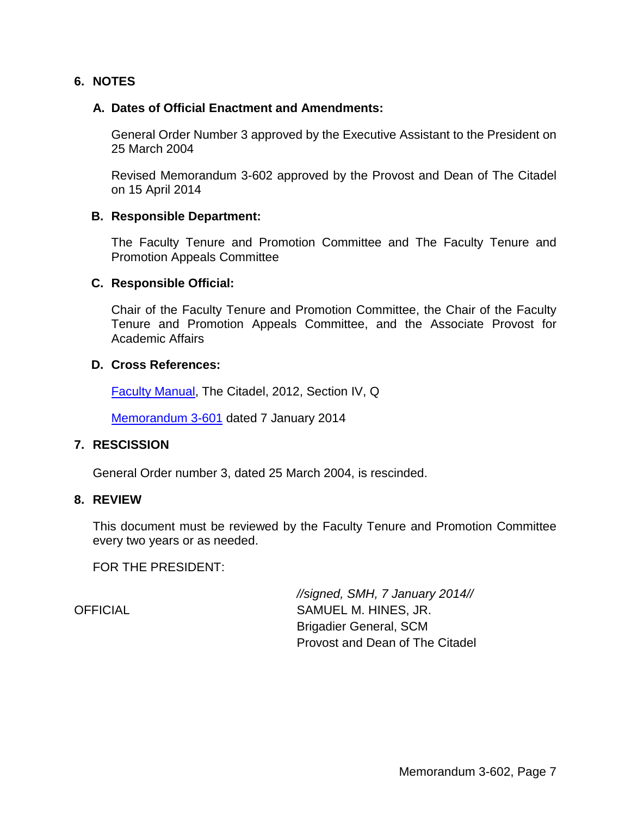### **6. NOTES**

#### **A. Dates of Official Enactment and Amendments:**

General Order Number 3 approved by the Executive Assistant to the President on 25 March 2004

Revised Memorandum 3-602 approved by the Provost and Dean of The Citadel on 15 April 2014

#### **B. Responsible Department:**

The Faculty Tenure and Promotion Committee and The Faculty Tenure and Promotion Appeals Committee

#### **C. Responsible Official:**

Chair of the Faculty Tenure and Promotion Committee, the Chair of the Faculty Tenure and Promotion Appeals Committee, and the Associate Provost for Academic Affairs

#### **D. Cross References:**

Faculty [Manual,](http://www.citadel.edu/root/images/Policies/faculty-manual.pdf) The Citadel, 2012, Section IV, Q

[Memorandum](http://www.citadel.edu/root/images/Policies/3-601-tenure-and-promotion.pdf) 3-601 dated 7 January 2014

#### **7. RESCISSION**

General Order number 3, dated 25 March 2004, is rescinded.

#### **8. REVIEW**

This document must be reviewed by the Faculty Tenure and Promotion Committee every two years or as needed.

FOR THE PRESIDENT:

*//signed, SMH, 7 January 2014//* OFFICIAL SAMUEL M. HINES, JR. Brigadier General, SCM Provost and Dean of The Citadel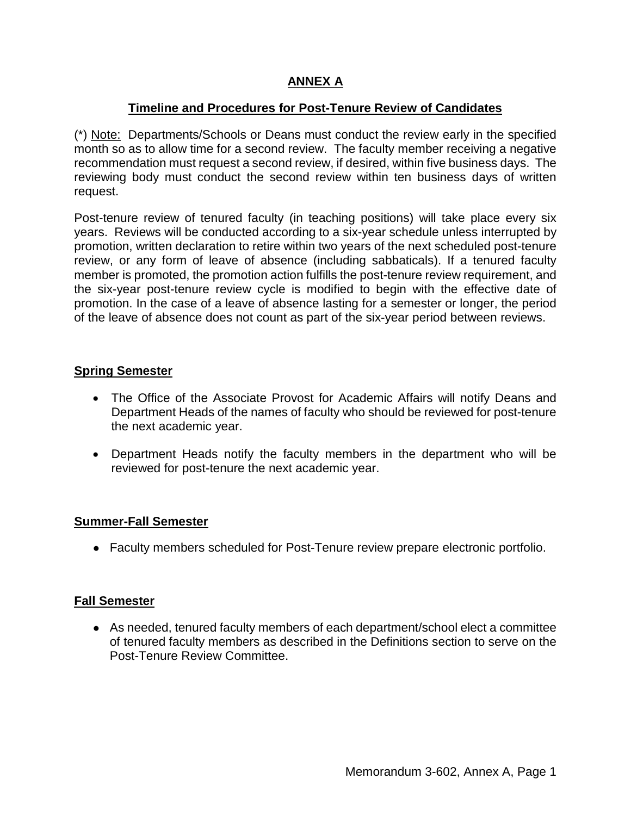# **ANNEX A**

### **Timeline and Procedures for Post-Tenure Review of Candidates**

<span id="page-7-0"></span>(\*) Note: Departments/Schools or Deans must conduct the review early in the specified month so as to allow time for a second review. The faculty member receiving a negative recommendation must request a second review, if desired, within five business days. The reviewing body must conduct the second review within ten business days of written request.

Post-tenure review of tenured faculty (in teaching positions) will take place every six years. Reviews will be conducted according to a six-year schedule unless interrupted by promotion, written declaration to retire within two years of the next scheduled post-tenure review, or any form of leave of absence (including sabbaticals). If a tenured faculty member is promoted, the promotion action fulfills the post-tenure review requirement, and the six-year post-tenure review cycle is modified to begin with the effective date of promotion. In the case of a leave of absence lasting for a semester or longer, the period of the leave of absence does not count as part of the six-year period between reviews.

#### **Spring Semester**

- The Office of the Associate Provost for Academic Affairs will notify Deans and Department Heads of the names of faculty who should be reviewed for post-tenure the next academic year.
- Department Heads notify the faculty members in the department who will be reviewed for post-tenure the next academic year.

### **Summer-Fall Semester**

● Faculty members scheduled for Post-Tenure review prepare electronic portfolio.

#### **Fall Semester**

● As needed, tenured faculty members of each department/school elect a committee of tenured faculty members as described in the Definitions section to serve on the Post-Tenure Review Committee.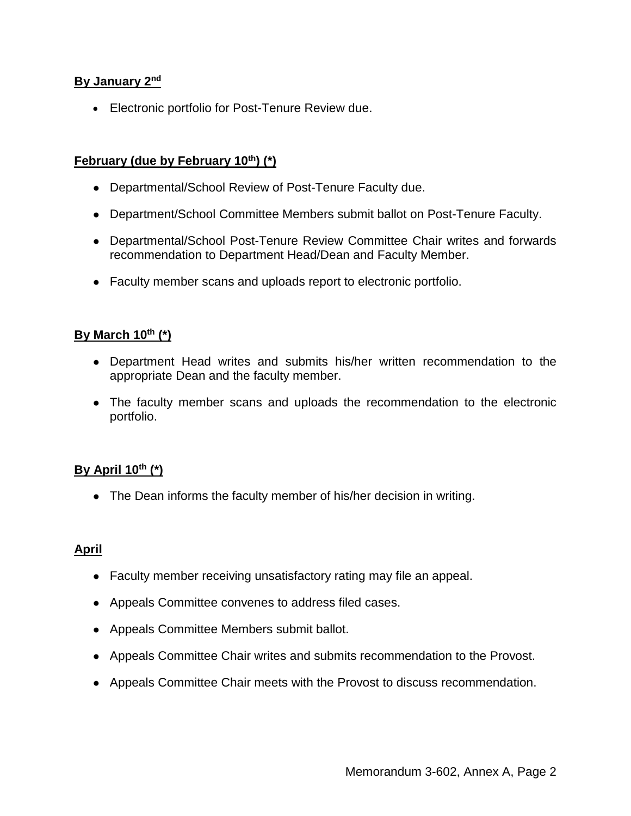## **By January 2nd**

Electronic portfolio for Post-Tenure Review due.

# **February (due by February 10th) (\*)**

- Departmental/School Review of Post-Tenure Faculty due.
- Department/School Committee Members submit ballot on Post-Tenure Faculty.
- Departmental/School Post-Tenure Review Committee Chair writes and forwards recommendation to Department Head/Dean and Faculty Member.
- Faculty member scans and uploads report to electronic portfolio.

#### **By March 10th (\*)**

- Department Head writes and submits his/her written recommendation to the appropriate Dean and the faculty member.
- The faculty member scans and uploads the recommendation to the electronic portfolio.

### **By April 10th (\*)**

• The Dean informs the faculty member of his/her decision in writing.

### **April**

- Faculty member receiving unsatisfactory rating may file an appeal.
- Appeals Committee convenes to address filed cases.
- Appeals Committee Members submit ballot.
- Appeals Committee Chair writes and submits recommendation to the Provost.
- Appeals Committee Chair meets with the Provost to discuss recommendation.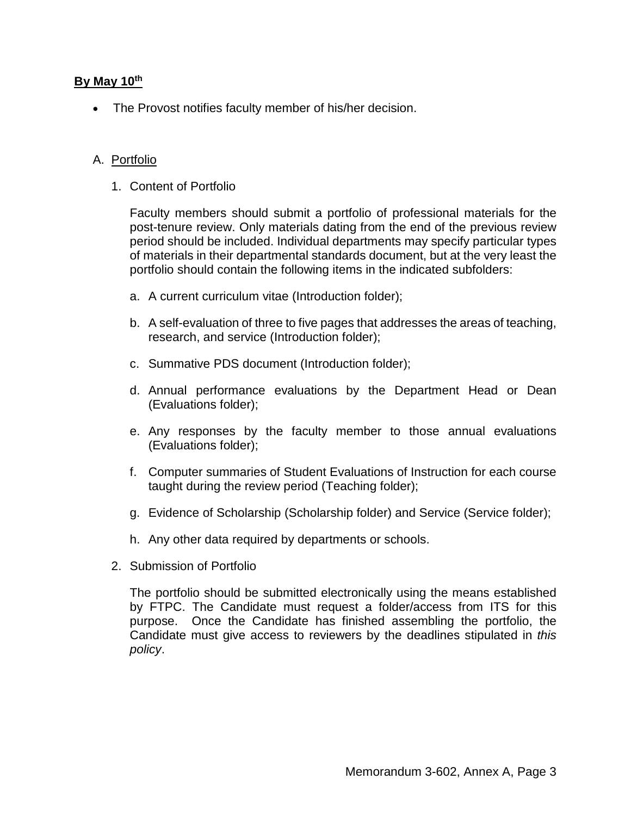## **By May 10th**

The Provost notifies faculty member of his/her decision.

## A. Portfolio

1. Content of Portfolio

Faculty members should submit a portfolio of professional materials for the post-tenure review. Only materials dating from the end of the previous review period should be included. Individual departments may specify particular types of materials in their departmental standards document, but at the very least the portfolio should contain the following items in the indicated subfolders:

- a. A current curriculum vitae (Introduction folder);
- b. A self-evaluation of three to five pages that addresses the areas of teaching, research, and service (Introduction folder);
- c. Summative PDS document (Introduction folder);
- d. Annual performance evaluations by the Department Head or Dean (Evaluations folder);
- e. Any responses by the faculty member to those annual evaluations (Evaluations folder);
- f. Computer summaries of Student Evaluations of Instruction for each course taught during the review period (Teaching folder);
- g. Evidence of Scholarship (Scholarship folder) and Service (Service folder);
- h. Any other data required by departments or schools.
- 2. Submission of Portfolio

The portfolio should be submitted electronically using the means established by FTPC. The Candidate must request a folder/access from ITS for this purpose. Once the Candidate has finished assembling the portfolio, the Candidate must give access to reviewers by the deadlines stipulated in *this policy*.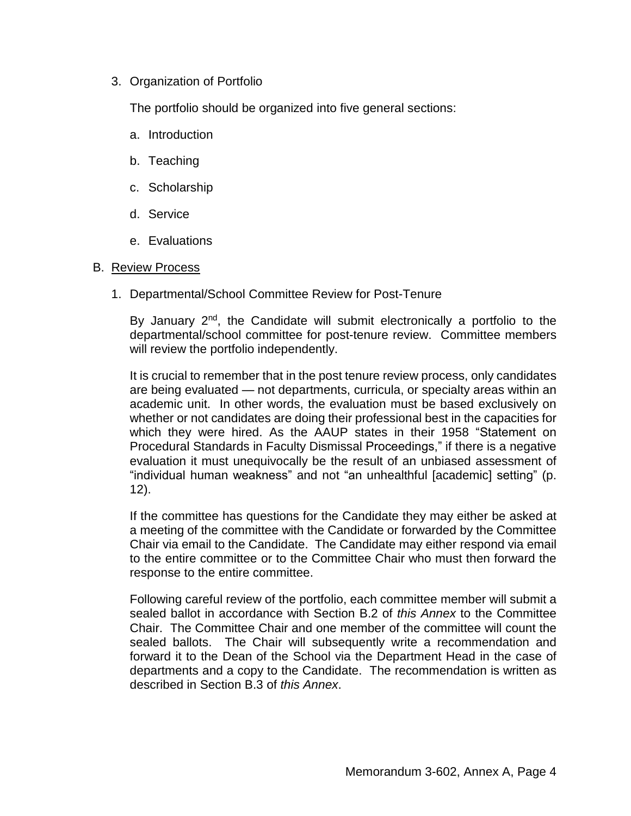## 3. Organization of Portfolio

The portfolio should be organized into five general sections:

- a. Introduction
- b. Teaching
- c. Scholarship
- d. Service
- e. Evaluations

### B. Review Process

1. Departmental/School Committee Review for Post-Tenure

By January 2<sup>nd</sup>, the Candidate will submit electronically a portfolio to the departmental/school committee for post-tenure review. Committee members will review the portfolio independently.

It is crucial to remember that in the post tenure review process, only candidates are being evaluated — not departments, curricula, or specialty areas within an academic unit. In other words, the evaluation must be based exclusively on whether or not candidates are doing their professional best in the capacities for which they were hired. As the AAUP states in their 1958 "Statement on Procedural Standards in Faculty Dismissal Proceedings," if there is a negative evaluation it must unequivocally be the result of an unbiased assessment of "individual human weakness" and not "an unhealthful [academic] setting" (p. 12).

If the committee has questions for the Candidate they may either be asked at a meeting of the committee with the Candidate or forwarded by the Committee Chair via email to the Candidate. The Candidate may either respond via email to the entire committee or to the Committee Chair who must then forward the response to the entire committee.

Following careful review of the portfolio, each committee member will submit a sealed ballot in accordance with Section B.2 of *this Annex* to the Committee Chair. The Committee Chair and one member of the committee will count the sealed ballots. The Chair will subsequently write a recommendation and forward it to the Dean of the School via the Department Head in the case of departments and a copy to the Candidate. The recommendation is written as described in Section B.3 of *this Annex*.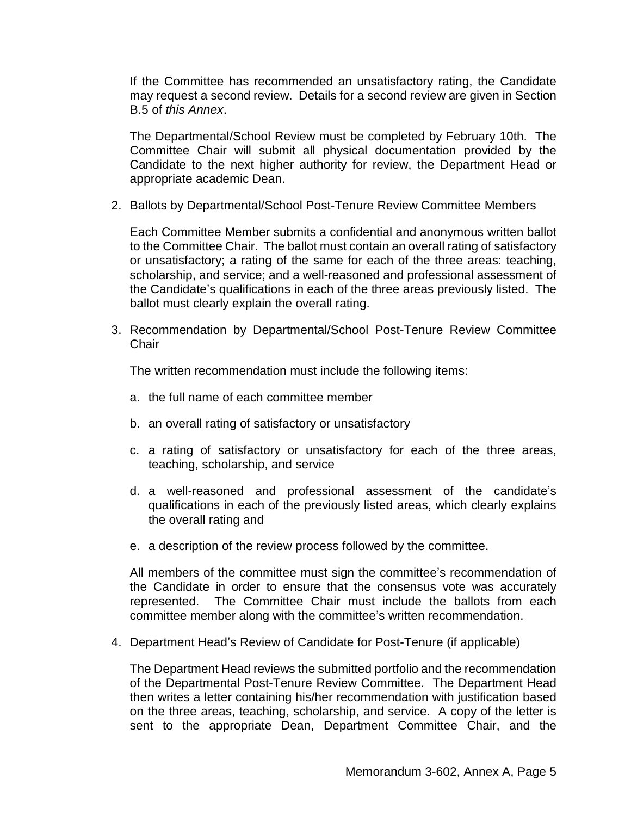If the Committee has recommended an unsatisfactory rating, the Candidate may request a second review. Details for a second review are given in Section B.5 of *this Annex*.

The Departmental/School Review must be completed by February 10th. The Committee Chair will submit all physical documentation provided by the Candidate to the next higher authority for review, the Department Head or appropriate academic Dean.

2. Ballots by Departmental/School Post-Tenure Review Committee Members

Each Committee Member submits a confidential and anonymous written ballot to the Committee Chair. The ballot must contain an overall rating of satisfactory or unsatisfactory; a rating of the same for each of the three areas: teaching, scholarship, and service; and a well-reasoned and professional assessment of the Candidate's qualifications in each of the three areas previously listed. The ballot must clearly explain the overall rating.

3. Recommendation by Departmental/School Post-Tenure Review Committee **Chair** 

The written recommendation must include the following items:

- a. the full name of each committee member
- b. an overall rating of satisfactory or unsatisfactory
- c. a rating of satisfactory or unsatisfactory for each of the three areas, teaching, scholarship, and service
- d. a well-reasoned and professional assessment of the candidate's qualifications in each of the previously listed areas, which clearly explains the overall rating and
- e. a description of the review process followed by the committee.

All members of the committee must sign the committee's recommendation of the Candidate in order to ensure that the consensus vote was accurately represented. The Committee Chair must include the ballots from each committee member along with the committee's written recommendation.

4. Department Head's Review of Candidate for Post-Tenure (if applicable)

The Department Head reviews the submitted portfolio and the recommendation of the Departmental Post-Tenure Review Committee. The Department Head then writes a letter containing his/her recommendation with justification based on the three areas, teaching, scholarship, and service. A copy of the letter is sent to the appropriate Dean, Department Committee Chair, and the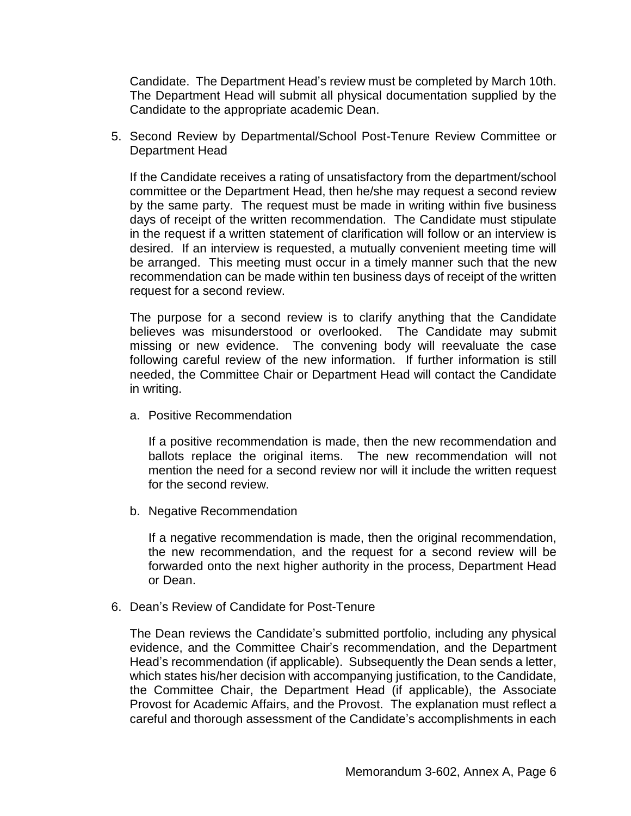Candidate. The Department Head's review must be completed by March 10th. The Department Head will submit all physical documentation supplied by the Candidate to the appropriate academic Dean.

5. Second Review by Departmental/School Post-Tenure Review Committee or Department Head

If the Candidate receives a rating of unsatisfactory from the department/school committee or the Department Head, then he/she may request a second review by the same party. The request must be made in writing within five business days of receipt of the written recommendation. The Candidate must stipulate in the request if a written statement of clarification will follow or an interview is desired. If an interview is requested, a mutually convenient meeting time will be arranged. This meeting must occur in a timely manner such that the new recommendation can be made within ten business days of receipt of the written request for a second review.

The purpose for a second review is to clarify anything that the Candidate believes was misunderstood or overlooked. The Candidate may submit missing or new evidence. The convening body will reevaluate the case following careful review of the new information. If further information is still needed, the Committee Chair or Department Head will contact the Candidate in writing.

a. Positive Recommendation

If a positive recommendation is made, then the new recommendation and ballots replace the original items. The new recommendation will not mention the need for a second review nor will it include the written request for the second review.

b. Negative Recommendation

If a negative recommendation is made, then the original recommendation, the new recommendation, and the request for a second review will be forwarded onto the next higher authority in the process, Department Head or Dean.

6. Dean's Review of Candidate for Post-Tenure

The Dean reviews the Candidate's submitted portfolio, including any physical evidence, and the Committee Chair's recommendation, and the Department Head's recommendation (if applicable). Subsequently the Dean sends a letter, which states his/her decision with accompanying justification, to the Candidate, the Committee Chair, the Department Head (if applicable), the Associate Provost for Academic Affairs, and the Provost. The explanation must reflect a careful and thorough assessment of the Candidate's accomplishments in each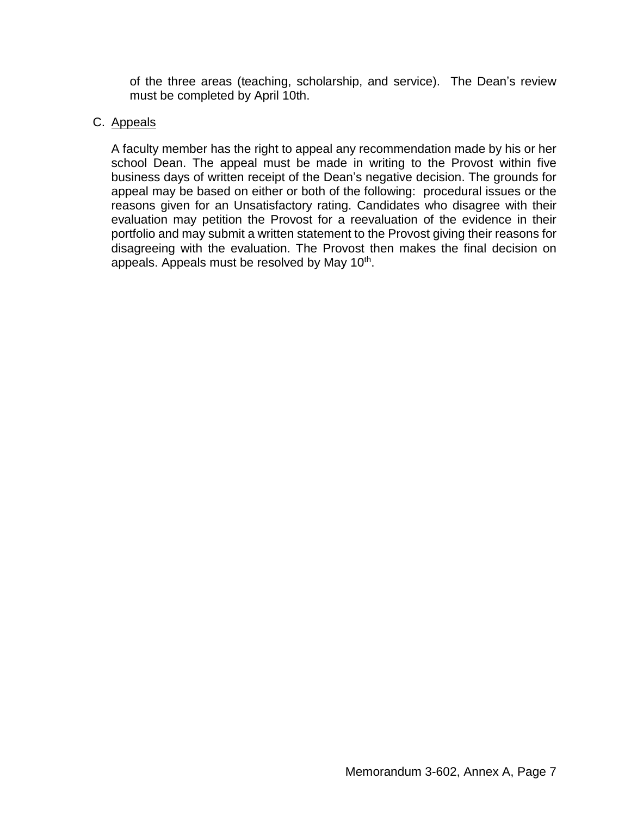of the three areas (teaching, scholarship, and service). The Dean's review must be completed by April 10th.

### C. Appeals

A faculty member has the right to appeal any recommendation made by his or her school Dean. The appeal must be made in writing to the Provost within five business days of written receipt of the Dean's negative decision. The grounds for appeal may be based on either or both of the following: procedural issues or the reasons given for an Unsatisfactory rating. Candidates who disagree with their evaluation may petition the Provost for a reevaluation of the evidence in their portfolio and may submit a written statement to the Provost giving their reasons for disagreeing with the evaluation. The Provost then makes the final decision on appeals. Appeals must be resolved by May 10<sup>th</sup>.